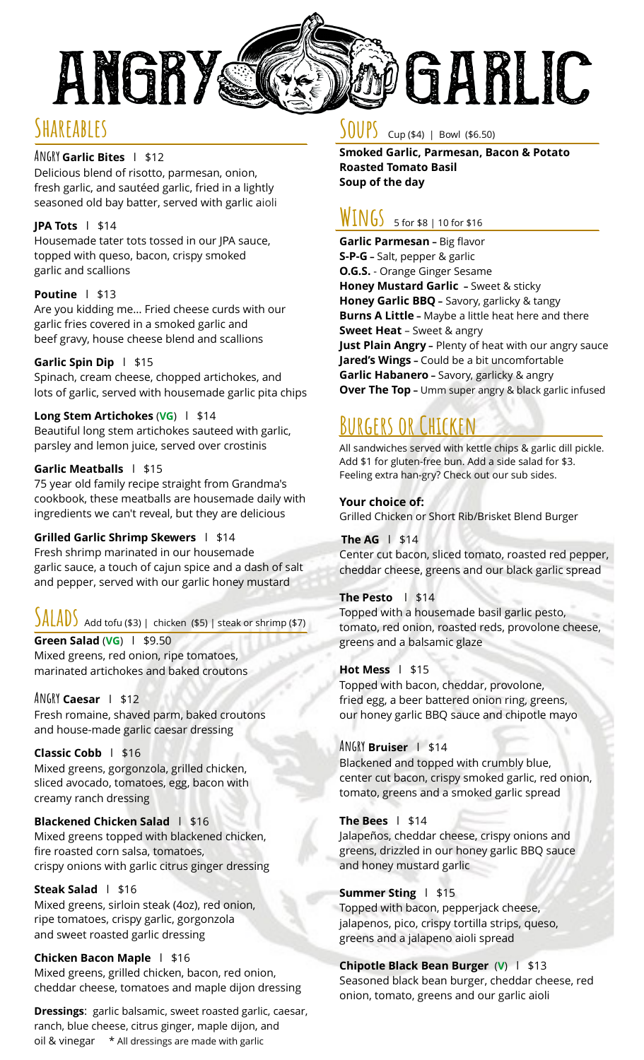

# **Shareables**

### **Angry Garlic Bites** l \$12

Delicious blend of risotto, parmesan, onion, fresh garlic, and sautéed garlic, fried in a lightly seasoned old bay batter, served with garlic aioli

### **JPA Tots** l \$14

Housemade tater tots tossed in our JPA sauce, topped with queso, bacon, crispy smoked garlic and scallions

### **Poutine** l \$13

Are you kidding me… Fried cheese curds with our garlic fries covered in a smoked garlic and beef gravy, house cheese blend and scallions

### **Garlic Spin Dip** l \$15

Spinach, cream cheese, chopped artichokes, and lots of garlic, served with housemade garlic pita chips

### **Long Stem Artichokes** (**VG**) l \$14

Beautiful long stem artichokes sauteed with garlic, parsley and lemon juice, served over crostinis

### **Garlic Meatballs** l \$15

75 year old family recipe straight from Grandma's cookbook, these meatballs are housemade daily with ingredients we can't reveal, but they are delicious

### **Grilled Garlic Shrimp Skewers** l \$14

Fresh shrimp marinated in our housemade garlic sauce, a touch of cajun spice and a dash of salt and pepper, served with our garlic honey mustard

# $\int A \left[ \frac{A}{B} \right]$  Add tofu (\$3) | chicken (\$5) | steak or shrimp (\$7)

**Green Salad** (**VG**) l \$9.50 Mixed greens, red onion, ripe tomatoes, marinated artichokes and baked croutons

### **Angry Caesar** l \$12

Fresh romaine, shaved parm, baked croutons and house-made garlic caesar dressing

**Classic Cobb** l \$16 Mixed greens, gorgonzola, grilled chicken, sliced avocado, tomatoes, egg, bacon with creamy ranch dressing

### **Blackened Chicken Salad** | \$16

Mixed greens topped with blackened chicken, fire roasted corn salsa, tomatoes, crispy onions with garlic citrus ginger dressing

### **Steak Salad** l \$16

Mixed greens, sirloin steak (4oz), red onion, ripe tomatoes, crispy garlic, gorgonzola and sweet roasted garlic dressing

### **Chicken Bacon Maple** l \$16

Mixed greens, grilled chicken, bacon, red onion, cheddar cheese, tomatoes and maple dijon dressing

**Dressings**: garlic balsamic, sweet roasted garlic, caesar, ranch, blue cheese, citrus ginger, maple dijon, and oil & vinegar \* All dressings are made with garlic

### $\frac{1}{2}$  Cup (\$4) | Bowl (\$6.50)

**Smoked Garlic, Parmesan, Bacon & Potato Roasted Tomato Basil Soup of the day**

# **Wings** 5 for \$8 | 10 for \$16

**Garlic Parmesan –** Big flavor **S-P-G –** Salt, pepper & garlic **O.G.S.** - Orange Ginger Sesame **Honey Mustard Garlic –** Sweet & sticky **Honey Garlic BBQ –** Savory, garlicky & tangy **Burns A Little –** Maybe a little heat here and there **Sweet Heat** – Sweet & angry **Just Plain Angry –** Plenty of heat with our angry sauce **Jared's Wings –** Could be a bit uncomfortable **Garlic Habanero –** Savory, garlicky & angry **Over The Top** - Umm super angry & black garlic infused

# **BUGERS OR CHILE**

All sandwiches served with kettle chips & garlic dill pickle. Add \$1 for gluten-free bun. Add a side salad for \$3. Feeling extra han-gry? Check out our sub sides.

### **Your choice of:**

Grilled Chicken or Short Rib/Brisket Blend Burger

### **The AG** l \$14

Center cut bacon, sliced tomato, roasted red pepper, cheddar cheese, greens and our black garlic spread

### **The Pesto** l \$14

Topped with a housemade basil garlic pesto, tomato, red onion, roasted reds, provolone cheese, greens and a balsamic glaze

### **Hot Mess** l\$15

Topped with bacon, cheddar, provolone, fried egg, a beer battered onion ring, greens, our honey garlic BBQ sauce and chipotle mayo

### **Angry Bruiser** l\$14

Blackened and topped with crumbly blue, center cut bacon, crispy smoked garlic, red onion, tomato, greens and a smoked garlic spread

### **The Bees** l\$14

Jalapeños, cheddar cheese, crispy onions and greens, drizzled in our honey garlic BBQ sauce and honey mustard garlic

### **Summer Sting** l \$15

Topped with bacon, pepperjack cheese, jalapenos, pico, crispy tortilla strips, queso, greens and a jalapeno aioli spread

#### **Chipotle Black Bean Burger** (**V**)l\$13 Seasoned black bean burger, cheddar cheese, red onion, tomato, greens and our garlic aioli